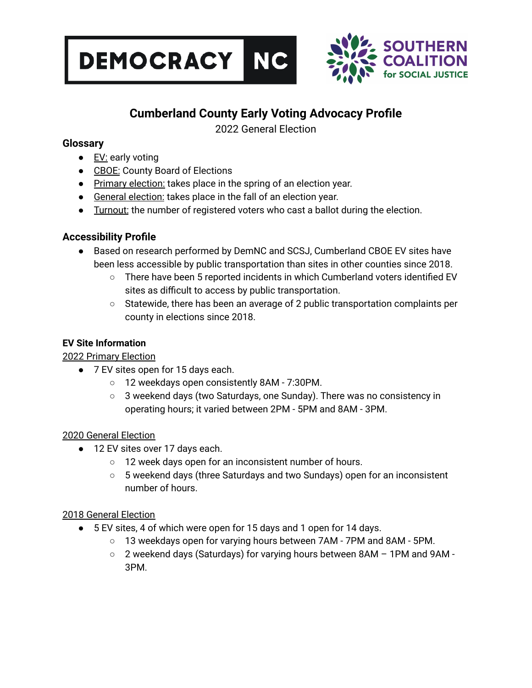



# **Cumberland County Early Voting Advocacy Profile**

2022 General Election

# **Glossary**

- EV: early voting
- CBOE: County Board of Elections
- Primary election: takes place in the spring of an election year.
- General election: takes place in the fall of an election year.
- **•** Turnout: the number of registered voters who cast a ballot during the election.

# **Accessibility Profile**

- Based on research performed by DemNC and SCSJ, Cumberland CBOE EV sites have been less accessible by public transportation than sites in other counties since 2018.
	- There have been 5 reported incidents in which Cumberland voters identified EV sites as difficult to access by public transportation.
	- $\circ$  Statewide, there has been an average of 2 public transportation complaints per county in elections since 2018.

# **EV Site Information**

2022 Primary Election

- 7 EV sites open for 15 days each.
	- 12 weekdays open consistently 8AM 7:30PM.
	- $\circ$  3 weekend days (two Saturdays, one Sunday). There was no consistency in operating hours; it varied between 2PM - 5PM and 8AM - 3PM.

### 2020 General Election

- 12 EV sites over 17 days each.
	- 12 week days open for an inconsistent number of hours.
	- 5 weekend days (three Saturdays and two Sundays) open for an inconsistent number of hours.

### 2018 General Election

- 5 EV sites, 4 of which were open for 15 days and 1 open for 14 days.
	- 13 weekdays open for varying hours between 7AM 7PM and 8AM 5PM.
	- 2 weekend days (Saturdays) for varying hours between 8AM 1PM and 9AM 3PM.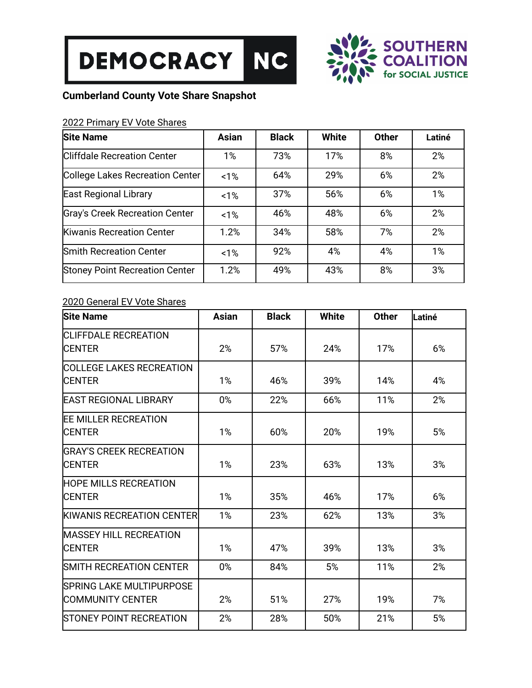



# **Cumberland County Vote Share Snapshot**

# 2022 Primary EV Vote Shares

| <b>Site Name</b>                      | <b>Asian</b> | <b>Black</b> | <b>White</b> | <b>Other</b> | Latiné |
|---------------------------------------|--------------|--------------|--------------|--------------|--------|
| <b>Cliffdale Recreation Center</b>    | 1%           | 73%          | 17%          | 8%           | 2%     |
| College Lakes Recreation Center       | 1%           | 64%          | 29%          | 6%           | 2%     |
| East Regional Library                 | 1%           | 37%          | 56%          | 6%           | 1%     |
| Gray's Creek Recreation Center        | 1%           | 46%          | 48%          | 6%           | 2%     |
| Kiwanis Recreation Center             | 1.2%         | 34%          | 58%          | 7%           | 2%     |
| <b>Smith Recreation Center</b>        | 1%           | 92%          | 4%           | 4%           | 1%     |
| <b>Stoney Point Recreation Center</b> | 1.2%         | 49%          | 43%          | 8%           | 3%     |

# 2020 General EV Vote Shares

| <b>Site Name</b>                | <b>Asian</b> | <b>Black</b> | <b>White</b> | <b>Other</b> | Latiné |
|---------------------------------|--------------|--------------|--------------|--------------|--------|
| <b>CLIFFDALE RECREATION</b>     |              |              |              |              |        |
| ICENTER                         | 2%           | 57%          | 24%          | 17%          | 6%     |
| <b>COLLEGE LAKES RECREATION</b> |              |              |              |              |        |
| <b>CENTER</b>                   | 1%           | 46%          | 39%          | 14%          | 4%     |
| <b>EAST REGIONAL LIBRARY</b>    | 0%           | 22%          | 66%          | 11%          | 2%     |
| <b>EE MILLER RECREATION</b>     |              |              |              |              |        |
| <b>CENTER</b>                   | 1%           | 60%          | 20%          | 19%          | 5%     |
| <b>IGRAY'S CREEK RECREATION</b> |              |              |              |              |        |
| <b>CENTER</b>                   | 1%           | 23%          | 63%          | 13%          | 3%     |
| <b>HOPE MILLS RECREATION</b>    |              |              |              |              |        |
| <b>CENTER</b>                   | 1%           | 35%          | 46%          | 17%          | 6%     |
| KIWANIS RECREATION CENTER       | 1%           | 23%          | 62%          | 13%          | 3%     |
| <b>IMASSEY HILL RECREATION</b>  |              |              |              |              |        |
| <b>CENTER</b>                   | 1%           | 47%          | 39%          | 13%          | 3%     |
| <b>SMITH RECREATION CENTER</b>  | 0%           | 84%          | 5%           | 11%          | 2%     |
| SPRING LAKE MULTIPURPOSE        |              |              |              |              |        |
| COMMUNITY CENTER                | 2%           | 51%          | 27%          | 19%          | 7%     |
| STONEY POINT RECREATION         | 2%           | 28%          | 50%          | 21%          | 5%     |